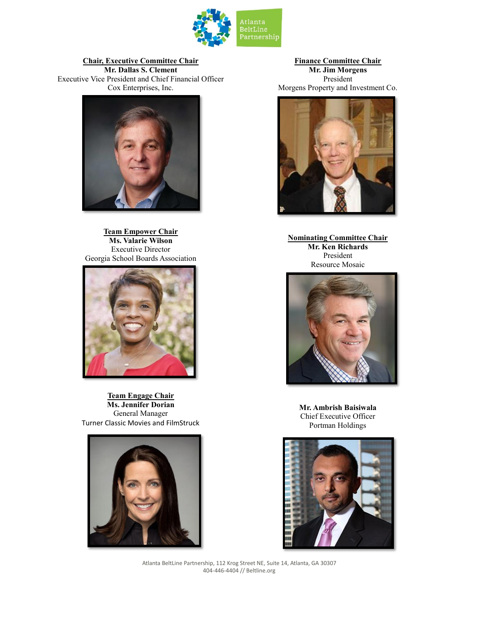

## **Chair, Executive Committee Chair**

**Mr. Dallas S. Clement** Executive Vice President and Chief Financial Officer Cox Enterprises, Inc.



**Team Empower Chair Ms. Valarie Wilson** Executive Director Georgia School Boards Association



**Team Engage Chair Ms. Jennifer Dorian** General Manager Turner Classic Movies and FilmStruck



**Finance Committee Chair Mr. Jim Morgens** President Morgens Property and Investment Co.



**Nominating Committee Chair Mr. Ken Richards** President Resource Mosaic



**Mr. Ambrish Baisiwala** Chief Executive Officer Portman Holdings

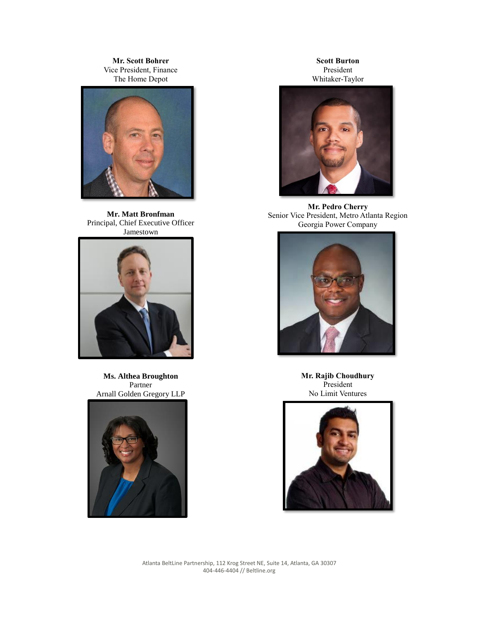**Mr. Scott Bohrer** Vice President, Finance The Home Depot



**Mr. Matt Bronfman** Principal, Chief Executive Officer Jamestown



**Ms. Althea Broughton** Partner Arnall Golden Gregory LLP



**Scott Burton** President Whitaker-Taylor



**Mr. Pedro Cherry** Senior Vice President, Metro Atlanta Region Georgia Power Company



**Mr. Rajib Choudhury** President No Limit Ventures

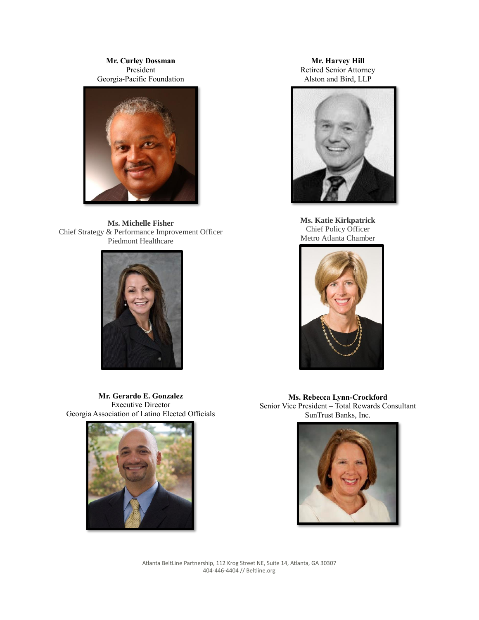**Mr. Curley Dossman** President Georgia-Pacific Foundation



**Ms. Michelle Fisher** Chief Strategy & Performance Improvement Officer Piedmont Healthcare



**Mr. Gerardo E. Gonzalez** Executive Director Georgia Association of Latino Elected Officials



**Mr. Harvey Hill** Retired Senior Attorney Alston and Bird, LLP



**Ms. Katie Kirkpatrick** Chief Policy Officer Metro Atlanta Chamber



**Ms. Rebecca Lynn-Crockford** Senior Vice President – Total Rewards Consultant SunTrust Banks, Inc.

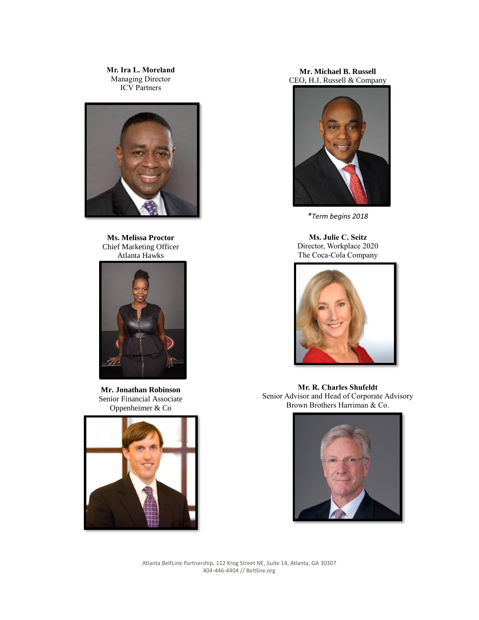**Mr. Ira L. Moreland** Managing Director ICV Partners



**Ms. Melissa Proctor** Chief Marketing Officer Atlanta Hawks



**Mr. Jonathan Robinson** Senior Financial Associate Oppenheimer & Co



## **Mr. Michael B. Russell** CEO, H.J. Russell & Company



*\*Term begins 2018*

**Ms. Julie C. Seitz** Director, Workplace 2020 The Coca-Cola Company



**Mr. R. Charles Shufeldt** Senior Advisor and Head of Corporate Advisory Brown Brothers Harriman & Co.